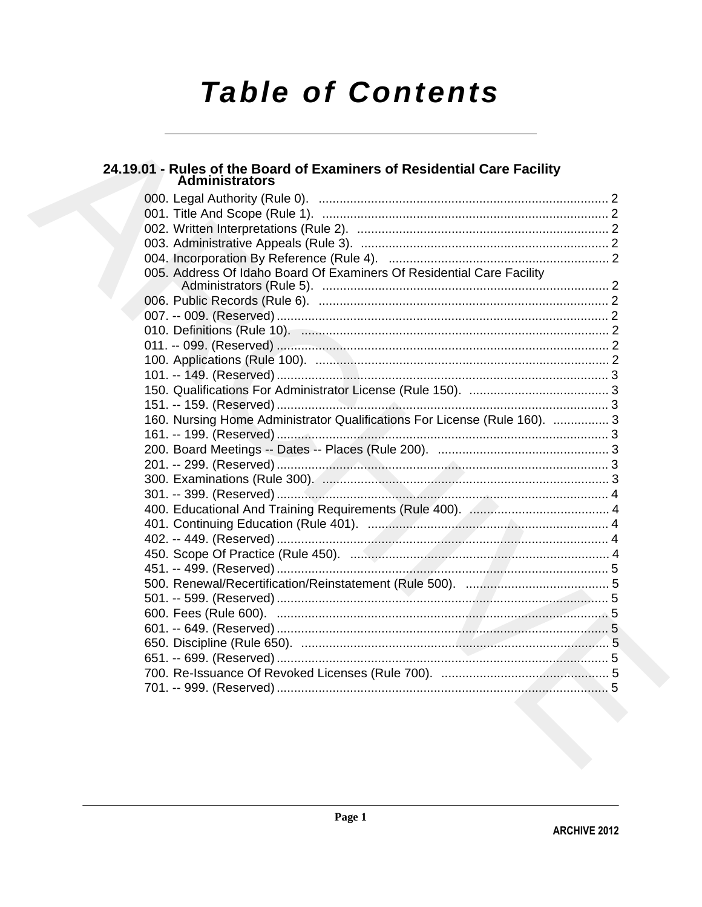# **Table of Contents**

# 24.19.01 - Rules of the Board of Examiners of Residential Care Facility<br>Administrators

| 005. Address Of Idaho Board Of Examiners Of Residential Care Facility     |  |
|---------------------------------------------------------------------------|--|
|                                                                           |  |
|                                                                           |  |
|                                                                           |  |
|                                                                           |  |
|                                                                           |  |
|                                                                           |  |
|                                                                           |  |
|                                                                           |  |
|                                                                           |  |
| 160. Nursing Home Administrator Qualifications For License (Rule 160).  3 |  |
|                                                                           |  |
|                                                                           |  |
|                                                                           |  |
|                                                                           |  |
|                                                                           |  |
|                                                                           |  |
|                                                                           |  |
|                                                                           |  |
|                                                                           |  |
|                                                                           |  |
|                                                                           |  |
|                                                                           |  |
|                                                                           |  |
|                                                                           |  |
|                                                                           |  |
|                                                                           |  |
|                                                                           |  |
|                                                                           |  |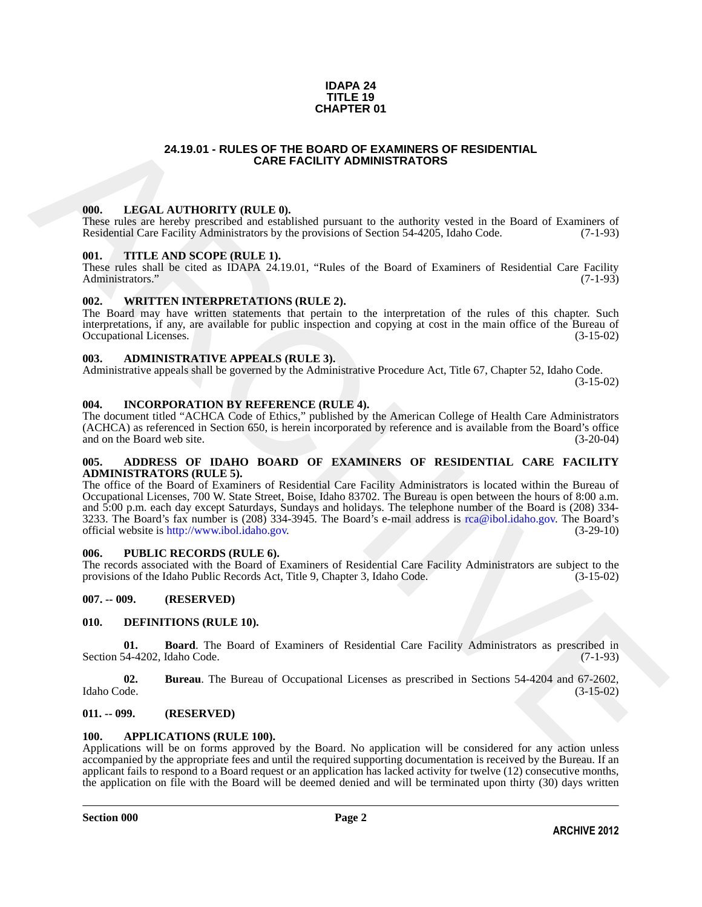#### **IDAPA 24 TITLE 19 CHAPTER 01**

### **24.19.01 - RULES OF THE BOARD OF EXAMINERS OF RESIDENTIAL CARE FACILITY ADMINISTRATORS**

#### <span id="page-1-1"></span>**000. LEGAL AUTHORITY (RULE 0).**

These rules are hereby prescribed and established pursuant to the authority vested in the Board of Examiners of Residential Care Facility Administrators by the provisions of Section 54-4205, Idaho Code. (7-1-93) Residential Care Facility Administrators by the provisions of Section 54-4205, Idaho Code.

#### <span id="page-1-2"></span>**001. TITLE AND SCOPE (RULE 1).**

These rules shall be cited as IDAPA 24.19.01, "Rules of the Board of Examiners of Residential Care Facility Administrators." (7-1-93) Administrators."

#### <span id="page-1-3"></span>**002. WRITTEN INTERPRETATIONS (RULE 2).**

The Board may have written statements that pertain to the interpretation of the rules of this chapter. Such interpretations, if any, are available for public inspection and copying at cost in the main office of the Bureau of Occupational Licenses. (3-15-02)

#### <span id="page-1-4"></span>**003. ADMINISTRATIVE APPEALS (RULE 3).**

Administrative appeals shall be governed by the Administrative Procedure Act, Title 67, Chapter 52, Idaho Code.

(3-15-02)

#### <span id="page-1-5"></span>**004. INCORPORATION BY REFERENCE (RULE 4).**

The document titled "ACHCA Code of Ethics," published by the American College of Health Care Administrators (ACHCA) as referenced in Section 650, is herein incorporated by reference and is available from the Board's office and on the Board web site. (3-20-04)

#### <span id="page-1-6"></span>**005. ADDRESS OF IDAHO BOARD OF EXAMINERS OF RESIDENTIAL CARE FACILITY ADMINISTRATORS (RULE 5).**

<span id="page-1-0"></span>**24.19.01 - RULES OF THE BOARD OF EXAMINERS OF RESIDENTIAL<br>
CARE FACILITY ADMINISTRATORS<br>
These mission hard procedures and realistical constraints in the mathematical case and of Faminese of<br>
Resembent One Facility Admin** The office of the Board of Examiners of Residential Care Facility Administrators is located within the Bureau of Occupational Licenses, 700 W. State Street, Boise, Idaho 83702. The Bureau is open between the hours of 8:00 a.m. and 5:00 p.m. each day except Saturdays, Sundays and holidays. The telephone number of the Board is (208) 334- 3233. The Board's fax number is (208) 334-3945. The Board's e-mail address is  $rca@ibol.idaho.gov$ . The Board's official website is http://www.ibol.idaho.gov. official website is http://www.ibol.idaho.gov. (3-29-10)

#### <span id="page-1-7"></span>**006. PUBLIC RECORDS (RULE 6).**

The records associated with the Board of Examiners of Residential Care Facility Administrators are subject to the provisions of the Idaho Public Records Act, Title 9, Chapter 3, Idaho Code. (3-15-02)

#### <span id="page-1-8"></span>**007. -- 009. (RESERVED)**

#### <span id="page-1-13"></span><span id="page-1-9"></span>**010. DEFINITIONS (RULE 10).**

<span id="page-1-14"></span>**01. Board**. The Board of Examiners of Residential Care Facility Administrators as prescribed in 54-4202, Idaho Code. (7-1-93) Section 54-4202, Idaho Code.

<span id="page-1-15"></span>**02. Bureau**. The Bureau of Occupational Licenses as prescribed in Sections 54-4204 and 67-2602, Idaho Code. (3-15-02) Idaho Code. (3-15-02)

#### <span id="page-1-10"></span>**011. -- 099. (RESERVED)**

#### <span id="page-1-12"></span><span id="page-1-11"></span>**100. APPLICATIONS (RULE 100).**

Applications will be on forms approved by the Board. No application will be considered for any action unless accompanied by the appropriate fees and until the required supporting documentation is received by the Bureau. If an applicant fails to respond to a Board request or an application has lacked activity for twelve (12) consecutive months, the application on file with the Board will be deemed denied and will be terminated upon thirty (30) days written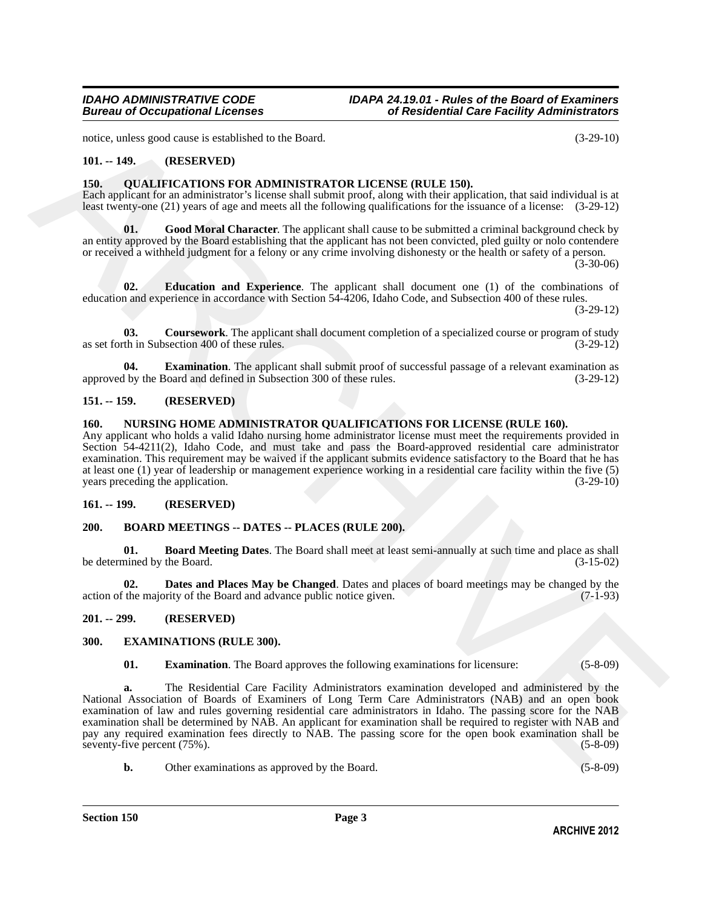notice, unless good cause is established to the Board. (3-29-10)

#### <span id="page-2-0"></span>**101. -- 149. (RESERVED)**

#### <span id="page-2-13"></span><span id="page-2-1"></span>**150. QUALIFICATIONS FOR ADMINISTRATOR LICENSE (RULE 150).**

Each applicant for an administrator's license shall submit proof, along with their application, that said individual is at least twenty-one (21) years of age and meets all the following qualifications for the issuance of a license: (3-29-12)

<span id="page-2-17"></span>**01.** Good Moral Character. The applicant shall cause to be submitted a criminal background check by an entity approved by the Board establishing that the applicant has not been convicted, pled guilty or nolo contendere or received a withheld judgment for a felony or any crime involving dishonesty or the health or safety of a person.

(3-30-06)

<span id="page-2-15"></span>**02. Education and Experience**. The applicant shall document one (1) of the combinations of education and experience in accordance with Section 54-4206, Idaho Code, and Subsection 400 of these rules.

(3-29-12)

<span id="page-2-14"></span>**03. Coursework**. The applicant shall document completion of a specialized course or program of study as set forth in Subsection 400 of these rules. (3-29-12)

<span id="page-2-16"></span>**04. Examination**. The applicant shall submit proof of successful passage of a relevant examination as the Board and defined in Subsection 300 of these rules. (3-29-12) approved by the Board and defined in Subsection 300 of these rules.

#### <span id="page-2-2"></span>**151. -- 159. (RESERVED)**

#### <span id="page-2-12"></span><span id="page-2-3"></span>**160. NURSING HOME ADMINISTRATOR QUALIFICATIONS FOR LICENSE (RULE 160).**

Any applicant who holds a valid Idaho nursing home administrator license must meet the requirements provided in Section 54-4211(2), Idaho Code, and must take and pass the Board-approved residential care administrator examination. This requirement may be waived if the applicant submits evidence satisfactory to the Board that he has at least one (1) year of leadership or management experience working in a residential care facility within the five (5) years preceding the application.

#### <span id="page-2-4"></span>**161. -- 199. (RESERVED)**

#### <span id="page-2-8"></span><span id="page-2-5"></span>**200. BOARD MEETINGS -- DATES -- PLACES (RULE 200).**

<span id="page-2-9"></span>**01. Board Meeting Dates**. The Board shall meet at least semi-annually at such time and place as shall be determined by the Board.

<span id="page-2-10"></span>**02. Dates and Places May be Changed**. Dates and places of board meetings may be changed by the the majority of the Board and advance public notice given. (7-1-93) action of the majority of the Board and advance public notice given.

#### <span id="page-2-6"></span>**201. -- 299. (RESERVED)**

#### <span id="page-2-7"></span>**300. EXAMINATIONS (RULE 300).**

<span id="page-2-11"></span>**01. Examination**. The Board approves the following examinations for licensure: (5-8-09)

noise, and to get cause is established in the Beart.<br>
10... 449.<br>
10... (RESERVENTS) (RECENSIONS (RELE 160).<br>
16... (RESERVENTS) and the interaction of the state and another of the state of the state of the state of the s **a.** The Residential Care Facility Administrators examination developed and administered by the National Association of Boards of Examiners of Long Term Care Administrators (NAB) and an open book examination of law and rules governing residential care administrators in Idaho. The passing score for the NAB examination shall be determined by NAB. An applicant for examination shall be required to register with NAB and pay any required examination fees directly to NAB. The passing score for the open book examination shall be seventy-five percent (75%). (5-8-09) (5-8-09)

**b.** Other examinations as approved by the Board. (5-8-09)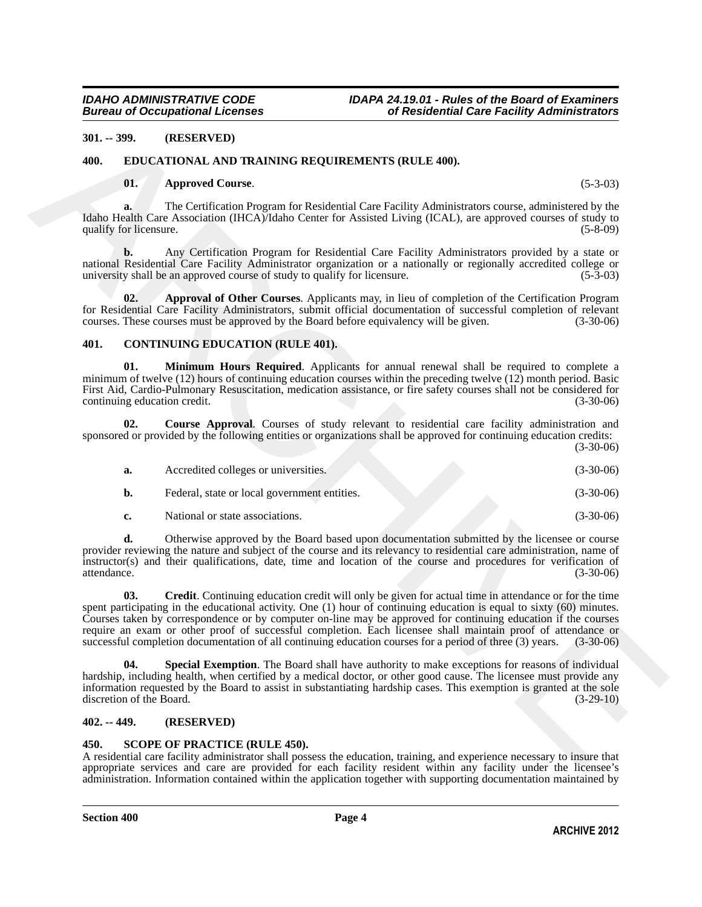### <span id="page-3-0"></span>**301. -- 399. (RESERVED)**

#### <span id="page-3-1"></span>**400. EDUCATIONAL AND TRAINING REQUIREMENTS (RULE 400).**

#### <span id="page-3-12"></span><span id="page-3-10"></span>**01. Approved Course**. (5-3-03)

#### <span id="page-3-11"></span><span id="page-3-8"></span><span id="page-3-6"></span><span id="page-3-5"></span><span id="page-3-2"></span>**401. CONTINUING EDUCATION (RULE 401).**

| $301. - 399.$                       |               | (RESERVED)                                                                                                                                                                                                                                                                                                                                                                                                                                                                                                                                                                         |             |
|-------------------------------------|---------------|------------------------------------------------------------------------------------------------------------------------------------------------------------------------------------------------------------------------------------------------------------------------------------------------------------------------------------------------------------------------------------------------------------------------------------------------------------------------------------------------------------------------------------------------------------------------------------|-------------|
| 400.                                |               | EDUCATIONAL AND TRAINING REQUIREMENTS (RULE 400).                                                                                                                                                                                                                                                                                                                                                                                                                                                                                                                                  |             |
| 01.                                 |               | <b>Approved Course.</b>                                                                                                                                                                                                                                                                                                                                                                                                                                                                                                                                                            | $(5-3-03)$  |
| a.<br>qualify for licensure.        |               | The Certification Program for Residential Care Facility Administrators course, administered by the<br>Idaho Health Care Association (IHCA)/Idaho Center for Assisted Living (ICAL), are approved courses of study to                                                                                                                                                                                                                                                                                                                                                               | $(5-8-09)$  |
| b.                                  |               | Any Certification Program for Residential Care Facility Administrators provided by a state or<br>national Residential Care Facility Administrator organization or a nationally or regionally accredited college or<br>university shall be an approved course of study to qualify for licensure.                                                                                                                                                                                                                                                                                    | $(5-3-03)$  |
| 02.                                 |               | Approval of Other Courses. Applicants may, in lieu of completion of the Certification Program<br>for Residential Care Facility Administrators, submit official documentation of successful completion of relevant<br>courses. These courses must be approved by the Board before equivalency will be given.                                                                                                                                                                                                                                                                        | $(3-30-06)$ |
| 401.                                |               | <b>CONTINUING EDUCATION (RULE 401).</b>                                                                                                                                                                                                                                                                                                                                                                                                                                                                                                                                            |             |
| 01.<br>continuing education credit. |               | Minimum Hours Required. Applicants for annual renewal shall be required to complete a<br>minimum of twelve (12) hours of continuing education courses within the preceding twelve (12) month period. Basic<br>First Aid, Cardio-Pulmonary Resuscitation, medication assistance, or fire safety courses shall not be considered for                                                                                                                                                                                                                                                 | $(3-30-06)$ |
| 02.                                 |               | Course Approval. Courses of study relevant to residential care facility administration and<br>sponsored or provided by the following entities or organizations shall be approved for continuing education credits:                                                                                                                                                                                                                                                                                                                                                                 | $(3-30-06)$ |
| a.                                  |               | Accredited colleges or universities.                                                                                                                                                                                                                                                                                                                                                                                                                                                                                                                                               | $(3-30-06)$ |
| b.                                  |               | Federal, state or local government entities.                                                                                                                                                                                                                                                                                                                                                                                                                                                                                                                                       | $(3-30-06)$ |
| c.                                  |               | National or state associations.                                                                                                                                                                                                                                                                                                                                                                                                                                                                                                                                                    | $(3-30-06)$ |
| d.<br>attendance.                   |               | Otherwise approved by the Board based upon documentation submitted by the licensee or course<br>provider reviewing the nature and subject of the course and its relevancy to residential care administration, name of<br>instructor(s) and their qualifications, date, time and location of the course and procedures for verification of                                                                                                                                                                                                                                          | $(3-30-06)$ |
| 03.                                 |               | <b>Credit.</b> Continuing education credit will only be given for actual time in attendance or for the time<br>spent participating in the educational activity. One (1) hour of continuing education is equal to sixty (60) minutes.<br>Courses taken by correspondence or by computer on-line may be approved for continuing education if the courses<br>require an exam or other proof of successful completion. Each licensee shall maintain proof of attendance or<br>successful completion documentation of all continuing education courses for a period of three (3) years. | $(3-30-06)$ |
| 04.<br>discretion of the Board.     |               | <b>Special Exemption.</b> The Board shall have authority to make exceptions for reasons of individual<br>hardship, including health, when certified by a medical doctor, or other good cause. The licensee must provide any<br>information requested by the Board to assist in substantiating hardship cases. This exemption is granted at the sole                                                                                                                                                                                                                                | $(3-29-10)$ |
|                                     | $402. - 449.$ | (RESERVED)                                                                                                                                                                                                                                                                                                                                                                                                                                                                                                                                                                         |             |

### <span id="page-3-9"></span><span id="page-3-7"></span><span id="page-3-3"></span>**402. -- 449. (RESERVED)**

#### <span id="page-3-13"></span><span id="page-3-4"></span>**450. SCOPE OF PRACTICE (RULE 450).**

A residential care facility administrator shall possess the education, training, and experience necessary to insure that appropriate services and care are provided for each facility resident within any facility under the licensee's administration. Information contained within the application together with supporting documentation maintained by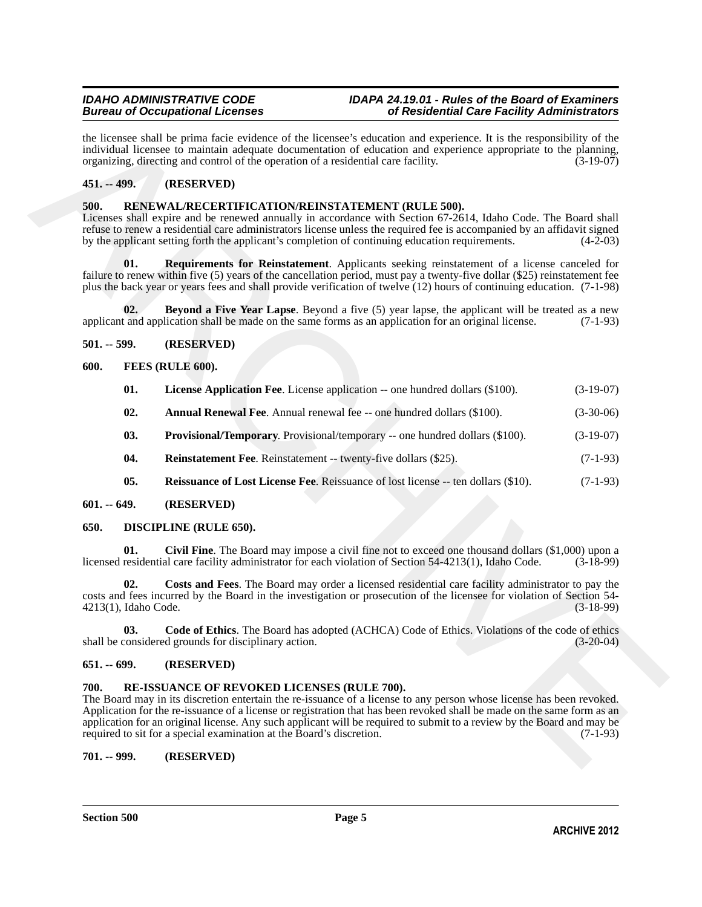# <span id="page-4-0"></span>**451. -- 499. (RESERVED)**

#### <span id="page-4-22"></span><span id="page-4-20"></span><span id="page-4-1"></span>**500. RENEWAL/RECERTIFICATION/REINSTATEMENT (RULE 500).**

#### <span id="page-4-21"></span><span id="page-4-2"></span>**501. -- 599. (RESERVED)**

#### <span id="page-4-16"></span><span id="page-4-15"></span><span id="page-4-14"></span><span id="page-4-13"></span><span id="page-4-3"></span>**600. FEES (RULE 600).**

| the licensee shall be prima facie evidence of the licensee's education and experience. It is the responsibility of the<br>individual licensee to maintain adequate documentation of education and experience appropriate to the planning,<br>organizing, directing and control of the operation of a residential care facility.<br>$(3-19-07)$                                                                                                                                                                         |                             |                                                                                                                                                                                                                                                                                                                                                                                                  |             |  |  |
|------------------------------------------------------------------------------------------------------------------------------------------------------------------------------------------------------------------------------------------------------------------------------------------------------------------------------------------------------------------------------------------------------------------------------------------------------------------------------------------------------------------------|-----------------------------|--------------------------------------------------------------------------------------------------------------------------------------------------------------------------------------------------------------------------------------------------------------------------------------------------------------------------------------------------------------------------------------------------|-------------|--|--|
| $451 - 499.$                                                                                                                                                                                                                                                                                                                                                                                                                                                                                                           |                             | (RESERVED)                                                                                                                                                                                                                                                                                                                                                                                       |             |  |  |
| 500.                                                                                                                                                                                                                                                                                                                                                                                                                                                                                                                   |                             | RENEWAL/RECERTIFICATION/REINSTATEMENT (RULE 500).<br>Licenses shall expire and be renewed annually in accordance with Section 67-2614, Idaho Code. The Board shall<br>refuse to renew a residential care administrators license unless the required fee is accompanied by an affidavit signed<br>by the applicant setting forth the applicant's completion of continuing education requirements. | $(4-2-03)$  |  |  |
|                                                                                                                                                                                                                                                                                                                                                                                                                                                                                                                        | 01.                         | Requirements for Reinstatement. Applicants seeking reinstatement of a license canceled for<br>failure to renew within five (5) years of the cancellation period, must pay a twenty-five dollar (\$25) reinstatement fee<br>plus the back year or years fees and shall provide verification of twelve (12) hours of continuing education. (7-1-98)                                                |             |  |  |
|                                                                                                                                                                                                                                                                                                                                                                                                                                                                                                                        | 02.                         | <b>Beyond a Five Year Lapse.</b> Beyond a five (5) year lapse, the applicant will be treated as a new<br>applicant and application shall be made on the same forms as an application for an original license.                                                                                                                                                                                    | $(7-1-93)$  |  |  |
| $501. - 599.$                                                                                                                                                                                                                                                                                                                                                                                                                                                                                                          |                             | (RESERVED)                                                                                                                                                                                                                                                                                                                                                                                       |             |  |  |
| 600.                                                                                                                                                                                                                                                                                                                                                                                                                                                                                                                   |                             | FEES (RULE 600).                                                                                                                                                                                                                                                                                                                                                                                 |             |  |  |
|                                                                                                                                                                                                                                                                                                                                                                                                                                                                                                                        | 01.                         | <b>License Application Fee.</b> License application -- one hundred dollars (\$100).                                                                                                                                                                                                                                                                                                              | $(3-19-07)$ |  |  |
|                                                                                                                                                                                                                                                                                                                                                                                                                                                                                                                        | 02.                         | Annual Renewal Fee. Annual renewal fee -- one hundred dollars (\$100).                                                                                                                                                                                                                                                                                                                           | $(3-30-06)$ |  |  |
|                                                                                                                                                                                                                                                                                                                                                                                                                                                                                                                        | 03.                         | <b>Provisional/Temporary.</b> Provisional/temporary -- one hundred dollars (\$100).                                                                                                                                                                                                                                                                                                              | $(3-19-07)$ |  |  |
|                                                                                                                                                                                                                                                                                                                                                                                                                                                                                                                        | 04.                         | <b>Reinstatement Fee.</b> Reinstatement -- twenty-five dollars (\$25).                                                                                                                                                                                                                                                                                                                           | $(7-1-93)$  |  |  |
|                                                                                                                                                                                                                                                                                                                                                                                                                                                                                                                        | 05.                         | Reissuance of Lost License Fee. Reissuance of lost license -- ten dollars (\$10).                                                                                                                                                                                                                                                                                                                | $(7-1-93)$  |  |  |
| $601. - 649.$                                                                                                                                                                                                                                                                                                                                                                                                                                                                                                          |                             | (RESERVED)                                                                                                                                                                                                                                                                                                                                                                                       |             |  |  |
| 650.                                                                                                                                                                                                                                                                                                                                                                                                                                                                                                                   |                             | DISCIPLINE (RULE 650).                                                                                                                                                                                                                                                                                                                                                                           |             |  |  |
|                                                                                                                                                                                                                                                                                                                                                                                                                                                                                                                        | 01.                         | <b>Civil Fine.</b> The Board may impose a civil fine not to exceed one thousand dollars $(\$1,000)$ upon a<br>licensed residential care facility administrator for each violation of Section 54-4213(1), Idaho Code.                                                                                                                                                                             | $(3-18-99)$ |  |  |
|                                                                                                                                                                                                                                                                                                                                                                                                                                                                                                                        | 02.<br>4213(1), Idaho Code. | Costs and Fees. The Board may order a licensed residential care facility administrator to pay the<br>costs and fees incurred by the Board in the investigation or prosecution of the licensee for violation of Section 54-                                                                                                                                                                       | $(3-18-99)$ |  |  |
| Code of Ethics. The Board has adopted (ACHCA) Code of Ethics. Violations of the code of ethics<br>03.<br>shall be considered grounds for disciplinary action.<br>$(3-20-04)$                                                                                                                                                                                                                                                                                                                                           |                             |                                                                                                                                                                                                                                                                                                                                                                                                  |             |  |  |
| $651. - 699.$                                                                                                                                                                                                                                                                                                                                                                                                                                                                                                          |                             | (RESERVED)                                                                                                                                                                                                                                                                                                                                                                                       |             |  |  |
| 700.<br>RE-ISSUANCE OF REVOKED LICENSES (RULE 700).<br>The Board may in its discretion entertain the re-issuance of a license to any person whose license has been revoked.<br>Application for the re-issuance of a license or registration that has been revoked shall be made on the same form as an<br>application for an original license. Any such applicant will be required to submit to a review by the Board and may be<br>required to sit for a special examination at the Board's discretion.<br>$(7-1-93)$ |                             |                                                                                                                                                                                                                                                                                                                                                                                                  |             |  |  |
| $701. - 999.$                                                                                                                                                                                                                                                                                                                                                                                                                                                                                                          |                             | (RESERVED)                                                                                                                                                                                                                                                                                                                                                                                       |             |  |  |
|                                                                                                                                                                                                                                                                                                                                                                                                                                                                                                                        |                             |                                                                                                                                                                                                                                                                                                                                                                                                  |             |  |  |

#### <span id="page-4-18"></span><span id="page-4-17"></span><span id="page-4-4"></span>**601. -- 649. (RESERVED)**

#### <span id="page-4-12"></span><span id="page-4-10"></span><span id="page-4-9"></span><span id="page-4-5"></span>**650. DISCIPLINE (RULE 650).**

#### <span id="page-4-11"></span><span id="page-4-6"></span>**651. -- 699. (RESERVED)**

#### <span id="page-4-19"></span><span id="page-4-7"></span>**700. RE-ISSUANCE OF REVOKED LICENSES (RULE 700).**

### <span id="page-4-8"></span>**701. -- 999. (RESERVED)**